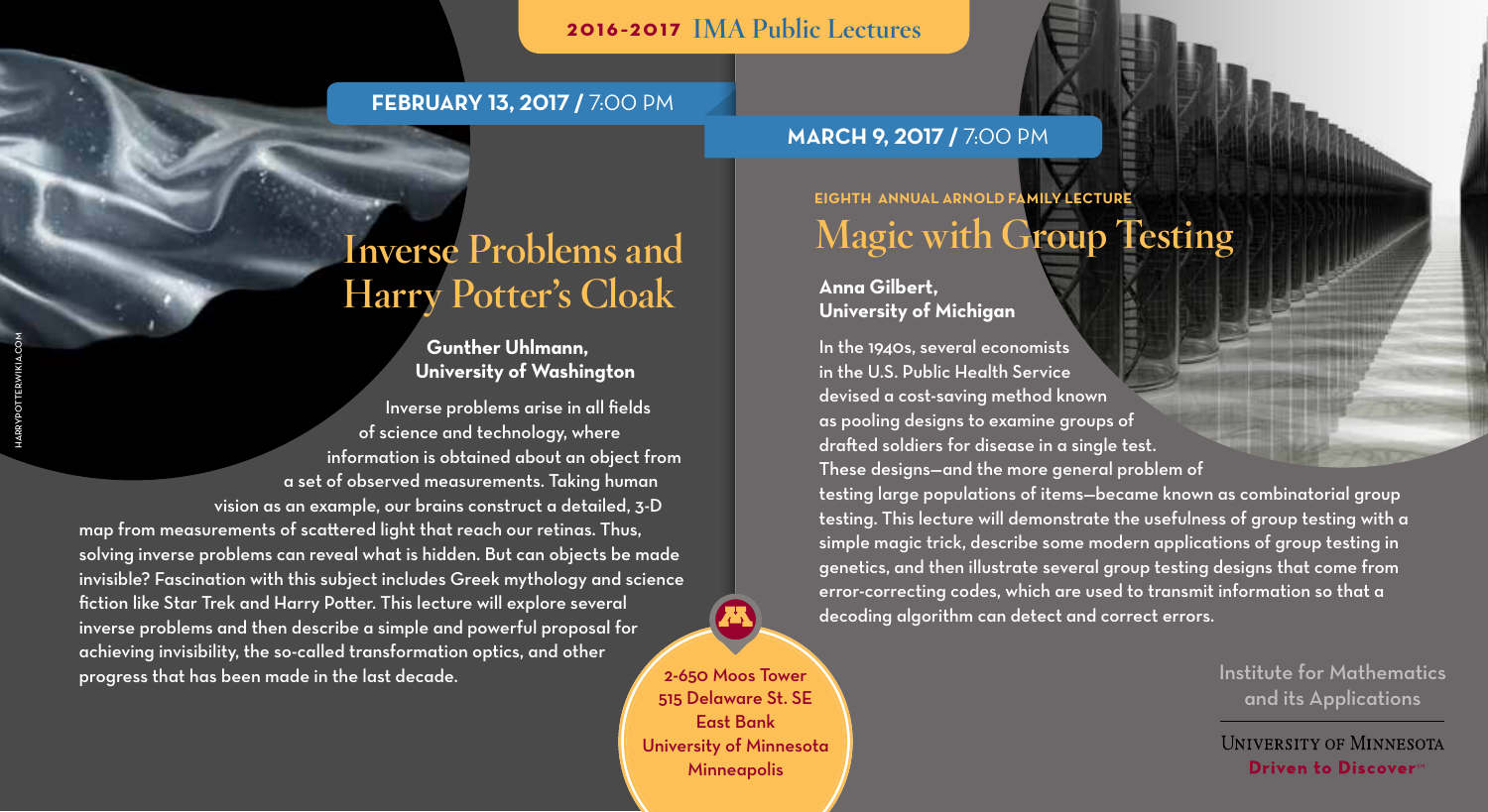## 2016–2017 IMA Public Lectures

### **February 13, 2017 /** 7:00 pm

### **March 9, 2017 /** 7:00 pm

# Inverse Problems and Harry Potter's Cloak

### **Gunther Uhlmann, University of Washington**

Inverse problems arise in all fields of science and technology, where information is obtained about an object from a set of observed measurements. Taking human vision as an example, our brains construct a detailed, 3-D

map from measurements of scattered light that reach our retinas. Thus, solving inverse problems can reveal what is hidden. But can objects be made invisible? Fascination with this subject includes Greek mythology and science fiction like Star Trek and Harry Potter. This lecture will explore several inverse problems and then describe a simple and powerful proposal for achieving invisibility, the so-called transformation optics, and other progress that has been made in the last decade.

2-650 Moos Tower 515 Delaware St. SE East Bank University of Minnesota **Minneapolis** 

**Eighth Annual Arnold Family Lecture** Magic with Group Testing

### **Anna Gilbert, University of Michigan**

In the 1940s, several economists in the U.S. Public Health Service devised a cost-saving method known as pooling designs to examine groups of drafted soldiers for disease in a single test. These designs—and the more general problem of

testing large populations of items—became known as combinatorial group testing. This lecture will demonstrate the usefulness of group testing with a simple magic trick, describe some modern applications of group testing in genetics, and then illustrate several group testing designs that come from error-correcting codes, which are used to transmit information so that a decoding algorithm can detect and correct errors.

> Institute for Mathematics and its Applications

**UNIVERSITY OF MINNESOTA Driven to Discovers**